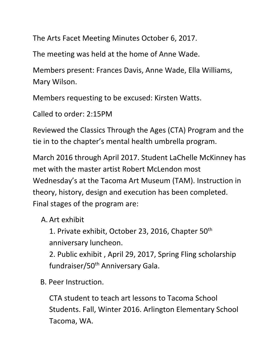The Arts Facet Meeting Minutes October 6, 2017.

The meeting was held at the home of Anne Wade.

Members present: Frances Davis, Anne Wade, Ella Williams, Mary Wilson.

Members requesting to be excused: Kirsten Watts.

Called to order: 2:15PM

Reviewed the Classics Through the Ages (CTA) Program and the tie in to the chapter's mental health umbrella program.

March 2016 through April 2017. Student LaChelle McKinney has met with the master artist Robert McLendon most Wednesday's at the Tacoma Art Museum (TAM). Instruction in theory, history, design and execution has been completed. Final stages of the program are:

A. Art exhibit

1. Private exhibit, October 23, 2016, Chapter 50<sup>th</sup> anniversary luncheon.

2. Public exhibit , April 29, 2017, Spring Fling scholarship fundraiser/50th Anniversary Gala.

B. Peer Instruction.

CTA student to teach art lessons to Tacoma School Students. Fall, Winter 2016. Arlington Elementary School Tacoma, WA.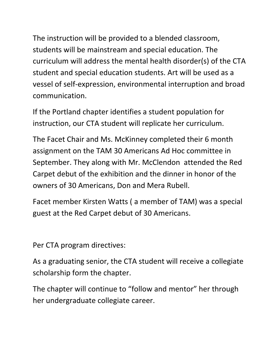The instruction will be provided to a blended classroom, students will be mainstream and special education. The curriculum will address the mental health disorder(s) of the CTA student and special education students. Art will be used as a vessel of self-expression, environmental interruption and broad communication.

If the Portland chapter identifies a student population for instruction, our CTA student will replicate her curriculum.

The Facet Chair and Ms. McKinney completed their 6 month assignment on the TAM 30 Americans Ad Hoc committee in September. They along with Mr. McClendon attended the Red Carpet debut of the exhibition and the dinner in honor of the owners of 30 Americans, Don and Mera Rubell.

Facet member Kirsten Watts ( a member of TAM) was a special guest at the Red Carpet debut of 30 Americans.

Per CTA program directives:

As a graduating senior, the CTA student will receive a collegiate scholarship form the chapter.

The chapter will continue to "follow and mentor" her through her undergraduate collegiate career.